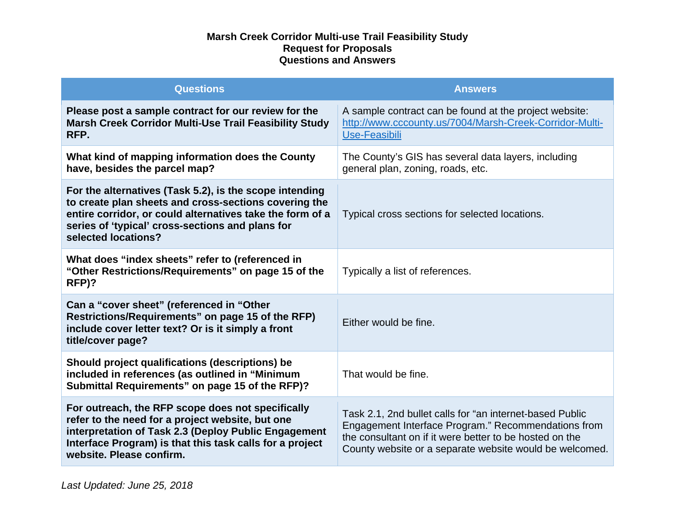| <b>Questions</b>                                                                                                                                                                                                                                         | <b>Answers</b>                                                                                                                                                                                                                        |
|----------------------------------------------------------------------------------------------------------------------------------------------------------------------------------------------------------------------------------------------------------|---------------------------------------------------------------------------------------------------------------------------------------------------------------------------------------------------------------------------------------|
| Please post a sample contract for our review for the<br><b>Marsh Creek Corridor Multi-Use Trail Feasibility Study</b><br>RFP.                                                                                                                            | A sample contract can be found at the project website:<br>http://www.cccounty.us/7004/Marsh-Creek-Corridor-Multi-<br>Use-Feasibili                                                                                                    |
| What kind of mapping information does the County<br>have, besides the parcel map?                                                                                                                                                                        | The County's GIS has several data layers, including<br>general plan, zoning, roads, etc.                                                                                                                                              |
| For the alternatives (Task 5.2), is the scope intending<br>to create plan sheets and cross-sections covering the<br>entire corridor, or could alternatives take the form of a<br>series of 'typical' cross-sections and plans for<br>selected locations? | Typical cross sections for selected locations.                                                                                                                                                                                        |
| What does "index sheets" refer to (referenced in<br>"Other Restrictions/Requirements" on page 15 of the<br>RFP)?                                                                                                                                         | Typically a list of references.                                                                                                                                                                                                       |
| Can a "cover sheet" (referenced in "Other<br>Restrictions/Requirements" on page 15 of the RFP)<br>include cover letter text? Or is it simply a front<br>title/cover page?                                                                                | Either would be fine.                                                                                                                                                                                                                 |
| Should project qualifications (descriptions) be<br>included in references (as outlined in "Minimum<br>Submittal Requirements" on page 15 of the RFP)?                                                                                                    | That would be fine.                                                                                                                                                                                                                   |
| For outreach, the RFP scope does not specifically<br>refer to the need for a project website, but one<br>interpretation of Task 2.3 (Deploy Public Engagement<br>Interface Program) is that this task calls for a project<br>website. Please confirm.    | Task 2.1, 2nd bullet calls for "an internet-based Public<br>Engagement Interface Program." Recommendations from<br>the consultant on if it were better to be hosted on the<br>County website or a separate website would be welcomed. |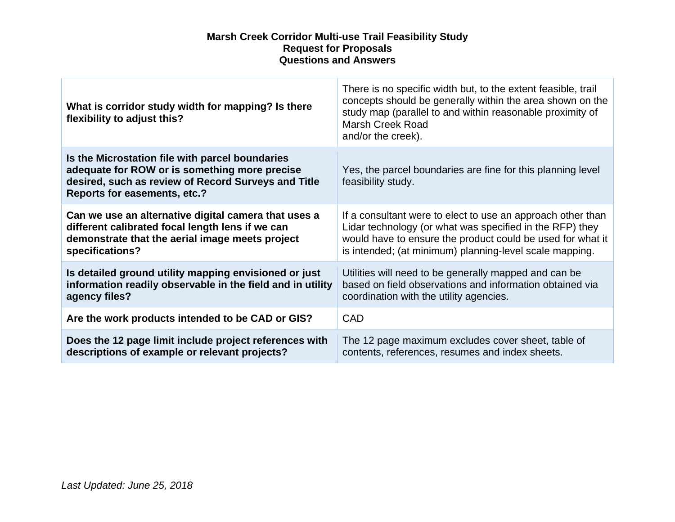| What is corridor study width for mapping? Is there<br>flexibility to adjust this?                                                                                                       | There is no specific width but, to the extent feasible, trail<br>concepts should be generally within the area shown on the<br>study map (parallel to and within reasonable proximity of<br>Marsh Creek Road<br>and/or the creek). |
|-----------------------------------------------------------------------------------------------------------------------------------------------------------------------------------------|-----------------------------------------------------------------------------------------------------------------------------------------------------------------------------------------------------------------------------------|
| Is the Microstation file with parcel boundaries<br>adequate for ROW or is something more precise<br>desired, such as review of Record Surveys and Title<br>Reports for easements, etc.? | Yes, the parcel boundaries are fine for this planning level<br>feasibility study.                                                                                                                                                 |
| Can we use an alternative digital camera that uses a                                                                                                                                    | If a consultant were to elect to use an approach other than                                                                                                                                                                       |
| different calibrated focal length lens if we can                                                                                                                                        | Lidar technology (or what was specified in the RFP) they                                                                                                                                                                          |
| demonstrate that the aerial image meets project                                                                                                                                         | would have to ensure the product could be used for what it                                                                                                                                                                        |
| specifications?                                                                                                                                                                         | is intended; (at minimum) planning-level scale mapping.                                                                                                                                                                           |
| Is detailed ground utility mapping envisioned or just                                                                                                                                   | Utilities will need to be generally mapped and can be                                                                                                                                                                             |
| information readily observable in the field and in utility                                                                                                                              | based on field observations and information obtained via                                                                                                                                                                          |
| agency files?                                                                                                                                                                           | coordination with the utility agencies.                                                                                                                                                                                           |
| Are the work products intended to be CAD or GIS?                                                                                                                                        | <b>CAD</b>                                                                                                                                                                                                                        |
| Does the 12 page limit include project references with                                                                                                                                  | The 12 page maximum excludes cover sheet, table of                                                                                                                                                                                |
| descriptions of example or relevant projects?                                                                                                                                           | contents, references, resumes and index sheets.                                                                                                                                                                                   |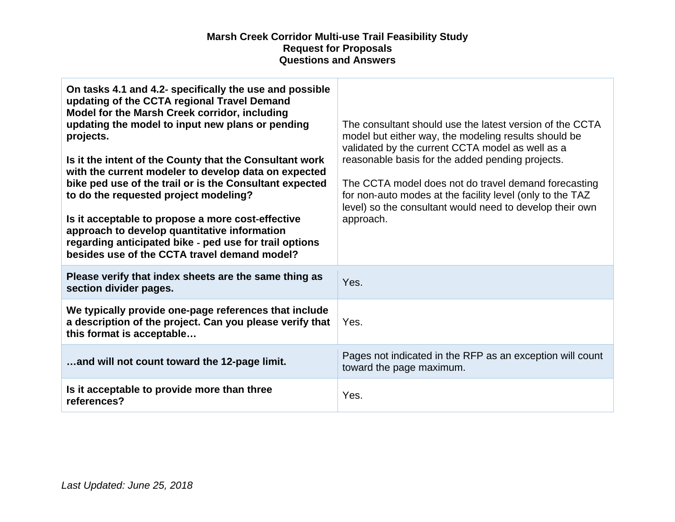| On tasks 4.1 and 4.2- specifically the use and possible<br>updating of the CCTA regional Travel Demand<br>Model for the Marsh Creek corridor, including<br>updating the model to input new plans or pending<br>projects.<br>Is it the intent of the County that the Consultant work<br>with the current modeler to develop data on expected<br>bike ped use of the trail or is the Consultant expected<br>to do the requested project modeling?<br>Is it acceptable to propose a more cost-effective<br>approach to develop quantitative information<br>regarding anticipated bike - ped use for trail options<br>besides use of the CCTA travel demand model? | The consultant should use the latest version of the CCTA<br>model but either way, the modeling results should be<br>validated by the current CCTA model as well as a<br>reasonable basis for the added pending projects.<br>The CCTA model does not do travel demand forecasting<br>for non-auto modes at the facility level (only to the TAZ<br>level) so the consultant would need to develop their own<br>approach. |
|----------------------------------------------------------------------------------------------------------------------------------------------------------------------------------------------------------------------------------------------------------------------------------------------------------------------------------------------------------------------------------------------------------------------------------------------------------------------------------------------------------------------------------------------------------------------------------------------------------------------------------------------------------------|------------------------------------------------------------------------------------------------------------------------------------------------------------------------------------------------------------------------------------------------------------------------------------------------------------------------------------------------------------------------------------------------------------------------|
| Please verify that index sheets are the same thing as<br>section divider pages.                                                                                                                                                                                                                                                                                                                                                                                                                                                                                                                                                                                | Yes.                                                                                                                                                                                                                                                                                                                                                                                                                   |
| We typically provide one-page references that include<br>a description of the project. Can you please verify that<br>this format is acceptable                                                                                                                                                                                                                                                                                                                                                                                                                                                                                                                 | Yes.                                                                                                                                                                                                                                                                                                                                                                                                                   |
| and will not count toward the 12-page limit.                                                                                                                                                                                                                                                                                                                                                                                                                                                                                                                                                                                                                   | Pages not indicated in the RFP as an exception will count<br>toward the page maximum.                                                                                                                                                                                                                                                                                                                                  |
| Is it acceptable to provide more than three<br>references?                                                                                                                                                                                                                                                                                                                                                                                                                                                                                                                                                                                                     | Yes.                                                                                                                                                                                                                                                                                                                                                                                                                   |